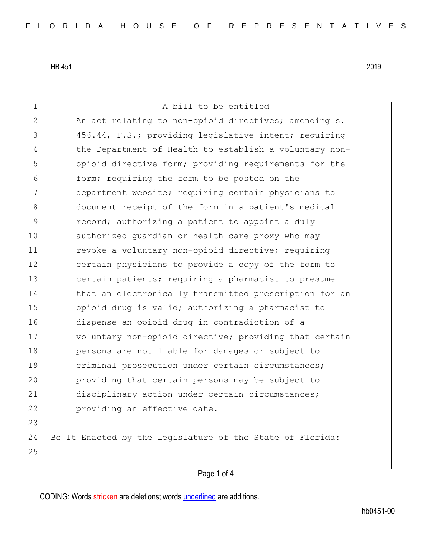1 a bill to be entitled 2 An act relating to non-opioid directives; amending s. 3 456.44, F.S.; providing legislative intent; requiring 4 the Department of Health to establish a voluntary non-5 opioid directive form; providing requirements for the 6 **form;** requiring the form to be posted on the 7 department website; requiring certain physicians to 8 document receipt of the form in a patient's medical 9 record; authorizing a patient to appoint a duly 10 authorized guardian or health care proxy who may 11 revoke a voluntary non-opioid directive; requiring 12 certain physicians to provide a copy of the form to 13 certain patients; requiring a pharmacist to presume 14 that an electronically transmitted prescription for an 15 opioid drug is valid; authorizing a pharmacist to 16 dispense an opioid drug in contradiction of a 17 voluntary non-opioid directive; providing that certain 18 persons are not liable for damages or subject to 19 criminal prosecution under certain circumstances; 20 providing that certain persons may be subject to 21 disciplinary action under certain circumstances; 22 providing an effective date. 23 24 Be It Enacted by the Legislature of the State of Florida: 25

## Page 1 of 4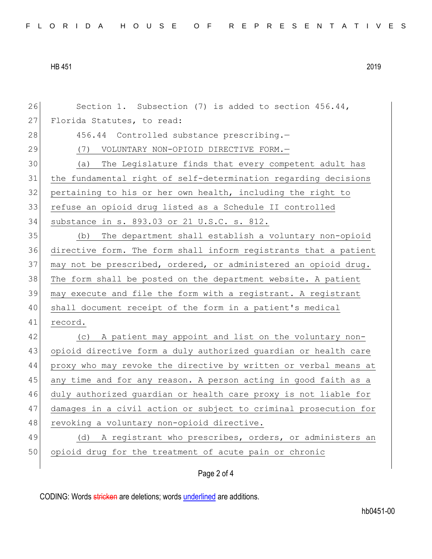26 Section 1. Subsection (7) is added to section 456.44, 27 Florida Statutes, to read: 28 456.44 Controlled substance prescribing.-29 (7) VOLUNTARY NON-OPIOID DIRECTIVE FORM.-30 (a) The Legislature finds that every competent adult has 31 the fundamental right of self-determination regarding decisions 32 pertaining to his or her own health, including the right to 33 refuse an opioid drug listed as a Schedule II controlled 34 substance in s. 893.03 or 21 U.S.C. s. 812. 35 (b) The department shall establish a voluntary non-opioid 36 directive form. The form shall inform registrants that a patient 37 may not be prescribed, ordered, or administered an opioid drug. 38 The form shall be posted on the department website. A patient 39 may execute and file the form with a registrant. A registrant 40 shall document receipt of the form in a patient's medical 41 record. 42 (c) A patient may appoint and list on the voluntary non-43 opioid directive form a duly authorized guardian or health care 44 proxy who may revoke the directive by written or verbal means at 45 any time and for any reason. A person acting in good faith as a 46 duly authorized guardian or health care proxy is not liable for 47 damages in a civil action or subject to criminal prosecution for 48 revoking a voluntary non-opioid directive. 49 (d) A registrant who prescribes, orders, or administers an 50 opioid drug for the treatment of acute pain or chronic

## Page 2 of 4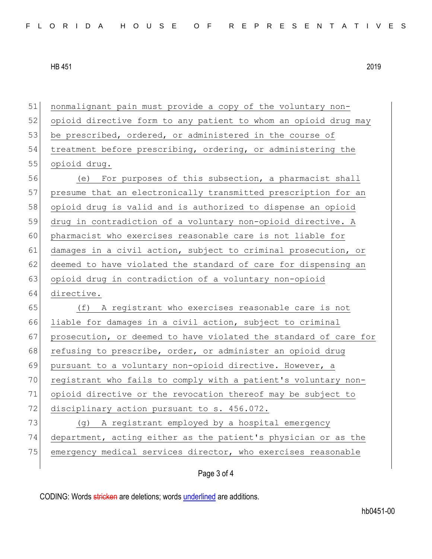| 51 | nonmalignant pain must provide a copy of the voluntary non-      |
|----|------------------------------------------------------------------|
| 52 | opioid directive form to any patient to whom an opioid drug may  |
| 53 | be prescribed, ordered, or administered in the course of         |
| 54 | treatment before prescribing, ordering, or administering the     |
| 55 | opioid drug.                                                     |
| 56 | (e) For purposes of this subsection, a pharmacist shall          |
| 57 | presume that an electronically transmitted prescription for an   |
| 58 | opioid drug is valid and is authorized to dispense an opioid     |
| 59 | drug in contradiction of a voluntary non-opioid directive. A     |
| 60 | pharmacist who exercises reasonable care is not liable for       |
| 61 | damages in a civil action, subject to criminal prosecution, or   |
| 62 | deemed to have violated the standard of care for dispensing an   |
| 63 | opioid drug in contradiction of a voluntary non-opioid           |
| 64 | directive.                                                       |
| 65 | (f) A registrant who exercises reasonable care is not            |
| 66 | liable for damages in a civil action, subject to criminal        |
| 67 | prosecution, or deemed to have violated the standard of care for |
| 68 | refusing to prescribe, order, or administer an opioid drug       |
| 69 | pursuant to a voluntary non-opioid directive. However, a         |
| 70 | registrant who fails to comply with a patient's voluntary non-   |
| 71 | opioid directive or the revocation thereof may be subject to     |
| 72 | disciplinary action pursuant to s. 456.072.                      |
| 73 | A registrant employed by a hospital emergency<br>(g)             |
| 74 | department, acting either as the patient's physician or as the   |
| 75 | emergency medical services director, who exercises reasonable    |
|    | Page 3 of 4                                                      |